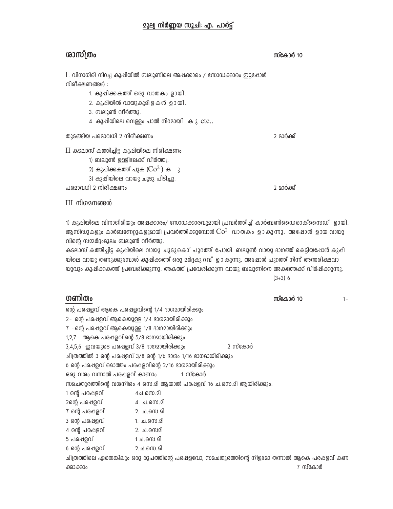### **മൂല്വ നിർണ്ണയ സൂചി: എ. പാർട്ട്**

# ശാസ്ത്രം

സ്കോർ 10

2 മാർക്ക്

2 മാർക്ക്

 $I$ . വിനാഗിരി നിറച്ച കുഷിയിൽ ബലൂണിലെ അഷക്കാരം / സോഡക്കാരം ഇട്ടഷോൾ നിരീക്ഷണങ്ങൾ:

- 1. കുപ്പിക്കകത്ത് ഒരു വാതകം ഉായി.
- 2. കുപ്പിയിൽ വായുകുമിളകൾ ഉായി.
- 3. ബലൂൺ വീർത്തു.
- 4. കുപ്പിയിലെ വെള്ളം പാൽ നിറമായി കു etc..

തുടങ്ങിയ പരമാവധി 2 നിരീക്ഷണം

 $II$  കടലാസ് കത്തിച്ചിട്ട കുപ്പിയിലെ നിരീക്ഷണം

1) ബലൂൺ ഉള്ളിലേക്ക് വീർത്തു.

- 2) കുപ്പിക്കകത്ത് പുക $(Co^2)$  ക  $\bar{\phantom{a}}$
- 3) കുപ്പിയിലെ വായു ചൂടു പിടിച്ചു.

പരമാവധി 2 നിരീക്ഷണം

III നിഗമനങ്ങൾ

1) കുപ്പിയിലെ വിനാഗിരിയും അപ്പക്കാരം/ സോഡക്കാരവുമായി പ്രവർത്തിച്ച് കാർബൺഡൈഓക്സൈഡ് ഉായി. ആസിഡുകളും കാർബണേറ്റുകളുമായി പ്രവർത്തിക്കുമ്പോൾ  $\rm{Co^2}$  വാതകം ഉാകുന്നു. അപ്പോൾ ഉായ വായു വിന്റെ സമ്മർദംമൂലം ബലൂൺ വീർത്തു.

കടലാസ് കത്തിച്ചിട്ട കുപ്പിയിലെ വായു ചൂടുകൊ് പുറത്ത് പോയി. ബലൂൺ വായു ദാഗത്ത് കെട്ടിയപ്പോൾ കുപ്പി യിലെ വായു തണുക്കുമ്പോൾ കുഷിക്കത്ത് ഒരു മർദ്ദകു റവ് ഉാ കുന്നു. അഷോൾ പുറത്ത് നിന്ന് അന്തരീക്ഷവാ യുവും കുപ്പിക്കകത്ത് പ്രവേശിക്കുന്നു. അകത്ത് പ്രവേശിക്കുന്ന വായു ബലൂണിനെ അകത്തേക്ക് വീർപ്പിക്കുന്നു.  $(3+3)$  6

| ഗണിതം                                      |                                                                                          |         | സ്കോർ 10 | $1 -$ |
|--------------------------------------------|------------------------------------------------------------------------------------------|---------|----------|-------|
|                                            | ന്റെ പരഷളവ് ആകെ പരഷളവിന്റെ 1/4 ഭാഗമായിരിക്കും                                            |         |          |       |
| 2- ന്റെ പരഷളവ് ആകെയുള്ള 1/4 ദാഗമായിരിക്കും |                                                                                          |         |          |       |
| 7 -ന്റെ പരഷളവ് ആകെയുള്ള 1/8 ഭാഗമായിരിക്കും |                                                                                          |         |          |       |
| 1,2,7- ആകെ പരഷളവിന്റെ 5/8 ഭാഗമായിരിക്കും   |                                                                                          |         |          |       |
| 3,4,5,6 ഇവയുടെ പരഷളവ് 3/8 ഭാഗമായിരിക്കും   |                                                                                          | 2 സ്കോർ |          |       |
|                                            | ചിത്രത്തിൽ 3 ന്റെ പരഷളവ് 3/8 ന്റെ 1/6 ഭാഗം 1/16 ഭാഗമായിരിക്കും                           |         |          |       |
|                                            | 6 ന്റെ പരഷളവ് മൊത്തം പരഷളവിന്റെ 2/16 ഭാഗമായിരിക്കും                                      |         |          |       |
| ഒരു വരം വന്നാൽ പരപ്പളവ് കാണാം              | 1 സ്കോർ                                                                                  |         |          |       |
|                                            | സമചതുരത്തിന്റെ വശനീശം 4 സെ.മി ആയാൽ പരപ്പളവ് 16 ച.സെ.മി ആയിരിക്കും.                       |         |          |       |
| 1 ന്റെ പരപ്പളവ്                            | 4ച.സെ.മി                                                                                 |         |          |       |
| 2ന്റെ പരപ്പളവ്                             | 4. ച.സെ.മി                                                                               |         |          |       |
| 7 ന്റെ പരഷളവ്                              | 2. ച.സെ.മി                                                                               |         |          |       |
| 3 ന്റെ പരഷളവ്                              | 1. ച.സെ.മി                                                                               |         |          |       |
| 4 ന്റെ പരഷളവ്                              | 2. ച.സെമി                                                                                |         |          |       |
| 5 പരഷളവ്                                   | 1.ച.സെ.മി                                                                                |         |          |       |
| 6 ന്റെ പരപ്പളവ്                            | $2.$ ച $.6$ സ $.2$                                                                       |         |          |       |
|                                            | ചിത്രത്തിലെ ഏതെങ്കിലും ഒരു രൂപത്തിന്റെ പരഷളവോ, സമചതുരത്തിന്റെ നീളമോ തന്നാൽ ആകെ പരഷളവ് കണ |         |          |       |
| ക്കാക്കാം                                  |                                                                                          |         | 7 സ്കോർ  |       |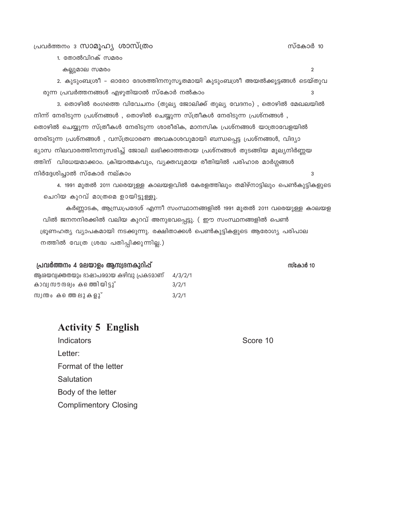### പ്രവർത്തനം ദ സാമൂഹ്യ ശാസ്ത്രം

1. തോൽവിറക് സമരം

കല്ലുമാല സമരം

2. കുടുംബശ്രീ - ഓരോ ദേശത്തിനനുസൃതമായി കുടുംബശ്രീ അയൽക്കൂട്ടങ്ങൾ ടെയ്തുവ രുന്ന പ്രവർത്തനങ്ങൾ എഴുതിയാൽ സ്കോർ നൽകാം 3

3. തൊഴിൽ രംഗത്തെ വിവേചനം (തുല്യ ജോലിക്ക് തുല്യ വേദനം) , തൊഴിൽ മേഖലയിൽ നിന്ന് നേരിടുന്ന പ്രശ്നങ്ങൾ , തൊഴിൽ ചെയ്യുന്ന സ്ത്രീകൾ നേരിടുന്ന പ്രശ്നങ്ങൾ , തൊഴിൽ ചെയ്യുന്ന സ്ത്രീകൾ നേരിടുന്ന ശാരീരിക, മാനസിക പ്രശ്നങ്ങൾ യാത്രാവേളയിൽ നേരിടുന്ന പ്രശ്നങ്ങൾ , വസ്ത്രധാരണ അവകാശവുമായി ബന്ധപ്പെട്ട പ്രശ്നങ്ങൾ, വിദ്യാ ഭ്യാസ നിലവാരത്തിനനുസരിച്ച് ജോലി ലഭിക്കാത്തതായ പ്രശ്നങ്ങൾ തുടങ്ങിയ മൂല്യനിർണ്ണയ ത്തിന് വിധേയമാക്കാം. ക്രിയാത്മകവും, വ്യക്തവുമായ രീതിയിൽ പരിഹാര മാർഗ്ഗങ്ങൾ നിർദ്ദേശിച്ചാൽ സ്കോർ നല്കാം 3

4. 1991 മുതൽ 2011 വരെയുള്ള കാലയളവിൽ കേരളത്തിലും തമിഴ്നാട്ടിലും പെൺകുട്ടികളുടെ ചെറിയ കുറവ് മാത്രമെ ഉായിട്ടുള്ളൂ.

കർണ്ണാടക, ആന്ധ്രപ്രദേശ് എന്നീ സംസ്ഥാനങ്ങളിൽ 1991 മുതൽ 2011 വരെയുള്ള കാലയള വിൽ ജനനനിരക്കിൽ വലിയ കുറവ് അനുഭവപ്പെട്ടു. ( ഈ സംസ്ഥനങ്ങളിൽ പെൺ ഭ്രൂണഹത്യ വ്യാപകമായി നടക്കുന്നു. രക്ഷിതാക്കൾ പെൺകുട്ടികളുടെ ആരോഗ്യ പരിപാല നത്തിൽ വേത്ര ശ്രദ്ധ പതിപ്പിക്കുന്നില്ല.)

#### പ്രവർത്തനം 4 മലയാളം ആസ്വദനകുറിപ്പ്

ആരയവ്വക്തതയും ഭാഷാപരമായ കഴിവു പ്രകടമാണ്  $4/3/2/1$ കാവ്യ സൗന്ദര്വം കത്തിെയിട്ടു്  $3/2/1$ സ്വന്തം കത്തെലുകളു്  $3/2/1$ 

## **Activity 5 English**

Indicators Letter: Format of the letter Salutation Body of the letter **Complimentory Closing**  Score 10

 $\mathfrak{p}$ 

സ്കോർ 10